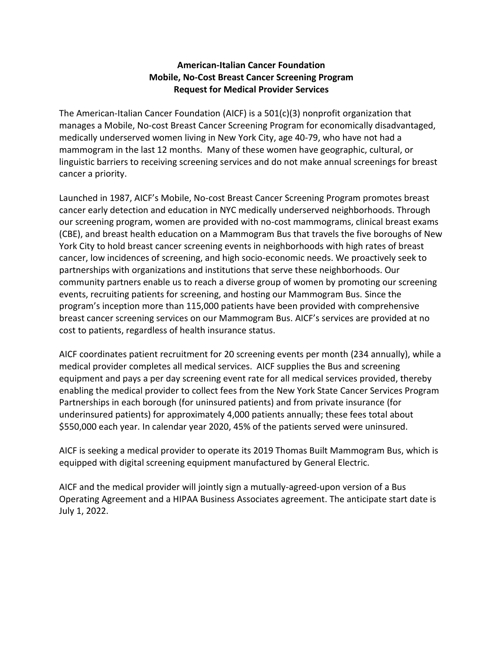## **American-Italian Cancer Foundation Mobile, No-Cost Breast Cancer Screening Program Request for Medical Provider Services**

The American-Italian Cancer Foundation (AICF) is a 501(c)(3) nonprofit organization that manages a Mobile, No-cost Breast Cancer Screening Program for economically disadvantaged, medically underserved women living in New York City, age 40-79, who have not had a mammogram in the last 12 months. Many of these women have geographic, cultural, or linguistic barriers to receiving screening services and do not make annual screenings for breast cancer a priority.

Launched in 1987, AICF's Mobile, No-cost Breast Cancer Screening Program promotes breast cancer early detection and education in NYC medically underserved neighborhoods. Through our screening program, women are provided with no-cost mammograms, clinical breast exams (CBE), and breast health education on a Mammogram Bus that travels the five boroughs of New York City to hold breast cancer screening events in neighborhoods with high rates of breast cancer, low incidences of screening, and high socio-economic needs. We proactively seek to partnerships with organizations and institutions that serve these neighborhoods. Our community partners enable us to reach a diverse group of women by promoting our screening events, recruiting patients for screening, and hosting our Mammogram Bus. Since the program's inception more than 115,000 patients have been provided with comprehensive breast cancer screening services on our Mammogram Bus. AICF's services are provided at no cost to patients, regardless of health insurance status.

AICF coordinates patient recruitment for 20 screening events per month (234 annually), while a medical provider completes all medical services. AICF supplies the Bus and screening equipment and pays a per day screening event rate for all medical services provided, thereby enabling the medical provider to collect fees from the New York State Cancer Services Program Partnerships in each borough (for uninsured patients) and from private insurance (for underinsured patients) for approximately 4,000 patients annually; these fees total about \$550,000 each year. In calendar year 2020, 45% of the patients served were uninsured.

AICF is seeking a medical provider to operate its 2019 Thomas Built Mammogram Bus, which is equipped with digital screening equipment manufactured by General Electric.

AICF and the medical provider will jointly sign a mutually-agreed-upon version of a Bus Operating Agreement and a HIPAA Business Associates agreement. The anticipate start date is July 1, 2022.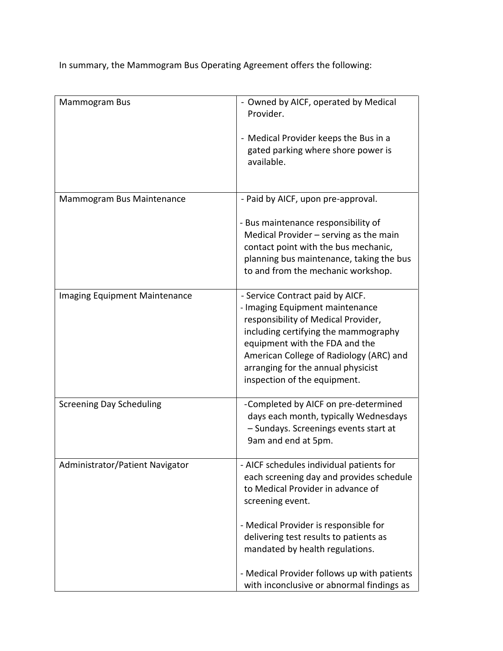In summary, the Mammogram Bus Operating Agreement offers the following:

| Mammogram Bus                        | - Owned by AICF, operated by Medical                                           |
|--------------------------------------|--------------------------------------------------------------------------------|
|                                      | Provider.                                                                      |
|                                      | - Medical Provider keeps the Bus in a                                          |
|                                      | gated parking where shore power is                                             |
|                                      | available.                                                                     |
|                                      |                                                                                |
| Mammogram Bus Maintenance            | - Paid by AICF, upon pre-approval.                                             |
|                                      | - Bus maintenance responsibility of                                            |
|                                      | Medical Provider $-$ serving as the main                                       |
|                                      | contact point with the bus mechanic,                                           |
|                                      | planning bus maintenance, taking the bus<br>to and from the mechanic workshop. |
|                                      |                                                                                |
| <b>Imaging Equipment Maintenance</b> | - Service Contract paid by AICF.                                               |
|                                      | - Imaging Equipment maintenance                                                |
|                                      | responsibility of Medical Provider,<br>including certifying the mammography    |
|                                      | equipment with the FDA and the                                                 |
|                                      | American College of Radiology (ARC) and                                        |
|                                      | arranging for the annual physicist                                             |
|                                      | inspection of the equipment.                                                   |
| <b>Screening Day Scheduling</b>      | -Completed by AICF on pre-determined                                           |
|                                      | days each month, typically Wednesdays                                          |
|                                      | - Sundays. Screenings events start at<br>9am and end at 5pm.                   |
|                                      |                                                                                |
| Administrator/Patient Navigator      | - AICF schedules individual patients for                                       |
|                                      | each screening day and provides schedule<br>to Medical Provider in advance of  |
|                                      | screening event.                                                               |
|                                      |                                                                                |
|                                      | - Medical Provider is responsible for                                          |
|                                      | delivering test results to patients as                                         |
|                                      | mandated by health regulations.                                                |
|                                      | - Medical Provider follows up with patients                                    |
|                                      | with inconclusive or abnormal findings as                                      |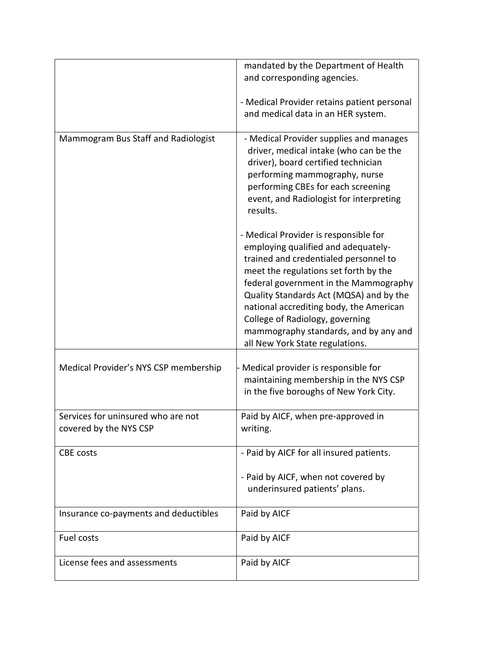|                                                              | mandated by the Department of Health<br>and corresponding agencies.                                                                                                                                                                                                                                                                                                                                          |
|--------------------------------------------------------------|--------------------------------------------------------------------------------------------------------------------------------------------------------------------------------------------------------------------------------------------------------------------------------------------------------------------------------------------------------------------------------------------------------------|
|                                                              |                                                                                                                                                                                                                                                                                                                                                                                                              |
|                                                              | - Medical Provider retains patient personal<br>and medical data in an HER system.                                                                                                                                                                                                                                                                                                                            |
| Mammogram Bus Staff and Radiologist                          | - Medical Provider supplies and manages<br>driver, medical intake (who can be the<br>driver), board certified technician<br>performing mammography, nurse<br>performing CBEs for each screening<br>event, and Radiologist for interpreting<br>results.                                                                                                                                                       |
|                                                              | - Medical Provider is responsible for<br>employing qualified and adequately-<br>trained and credentialed personnel to<br>meet the regulations set forth by the<br>federal government in the Mammography<br>Quality Standards Act (MQSA) and by the<br>national accrediting body, the American<br>College of Radiology, governing<br>mammography standards, and by any and<br>all New York State regulations. |
| Medical Provider's NYS CSP membership                        | Medical provider is responsible for<br>maintaining membership in the NYS CSP<br>in the five boroughs of New York City.                                                                                                                                                                                                                                                                                       |
| Services for uninsured who are not<br>covered by the NYS CSP | Paid by AICF, when pre-approved in<br>writing.                                                                                                                                                                                                                                                                                                                                                               |
| CBE costs                                                    | - Paid by AICF for all insured patients.<br>- Paid by AICF, when not covered by<br>underinsured patients' plans.                                                                                                                                                                                                                                                                                             |
| Insurance co-payments and deductibles                        | Paid by AICF                                                                                                                                                                                                                                                                                                                                                                                                 |
| Fuel costs                                                   | Paid by AICF                                                                                                                                                                                                                                                                                                                                                                                                 |
| License fees and assessments                                 | Paid by AICF                                                                                                                                                                                                                                                                                                                                                                                                 |